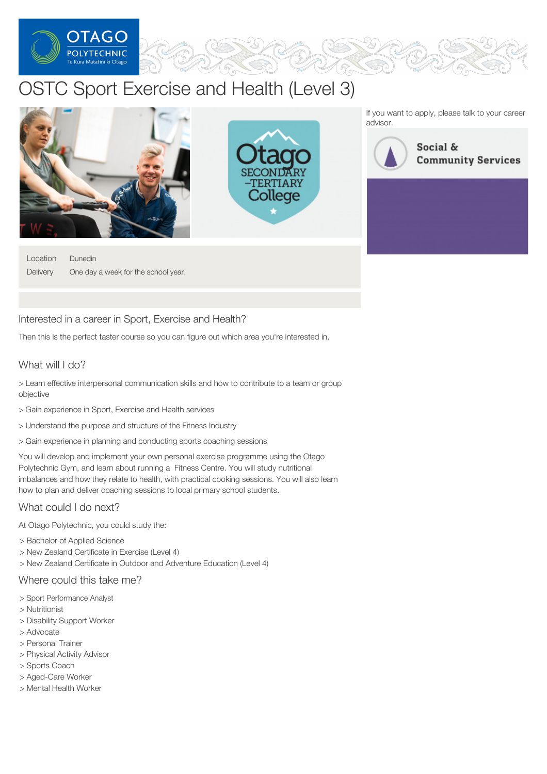

# OSTC Sport Exercise and Health (Level 3)



Location **Delivery** Dunedin One day a week for the school year.

#### Interested in a career in Sport, Exercise and Health?

Then this is the perfect taster course so you can figure out which area you're interested in.

## What will I do?

> Learn effective interpersonal communication skills and how to contribute to a team or group objective

- > Gain experience in Sport, Exercise and Health services
- > Understand the purpose and structure of the Fitness Industry
- > Gain experience in planning and conducting sports coaching sessions

You will develop and implement your own personal exercise programme using the Otago Polytechnic Gym, and learn about running a Fitness Centre. You will study nutritional imbalances and how they relate to health, with practical cooking sessions. You will also learn how to plan and deliver coaching sessions to local primary school students.

### What could I do next?

At Otago Polytechnic, you could study the:

- > Bachelor of Applied Science
- > New Zealand Certificate in Exercise (Level 4)
- > New Zealand Certificate in Outdoor and Adventure Education (Level 4)

#### Where could this take me?

- > Sport Performance Analyst
- > Nutritionist
- > Disability Support Worker
- > Advocate
- > Personal Trainer
- > Physical Activity Advisor
- > Sports Coach
- > Aged-Care Worker
- > Mental Health Worker